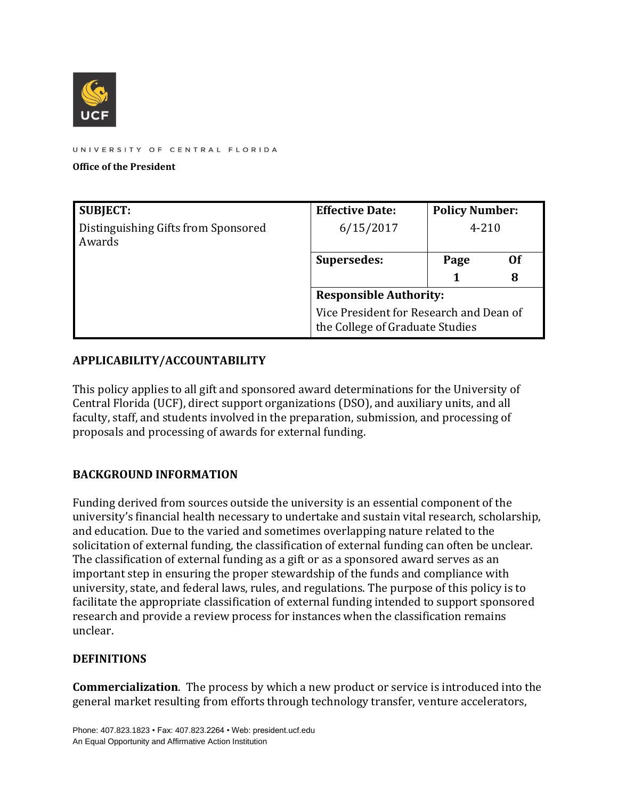

UNIVERSITY OF CENTRAL FLORIDA

#### **Office of the President**

| <b>SUBJECT:</b>                               | <b>Effective Date:</b>                                                     | <b>Policy Number:</b> |    |
|-----------------------------------------------|----------------------------------------------------------------------------|-----------------------|----|
| Distinguishing Gifts from Sponsored<br>Awards | 6/15/2017                                                                  | $4 - 210$             |    |
|                                               | Supersedes:                                                                | Page                  | 0f |
|                                               |                                                                            |                       | 8  |
|                                               | <b>Responsible Authority:</b>                                              |                       |    |
|                                               | Vice President for Research and Dean of<br>the College of Graduate Studies |                       |    |

#### **APPLICABILITY/ACCOUNTABILITY**

This policy applies to all gift and sponsored award determinations for the University of Central Florida (UCF), direct support organizations (DSO), and auxiliary units, and all faculty, staff, and students involved in the preparation, submission, and processing of proposals and processing of awards for external funding.

#### **BACKGROUND INFORMATION**

Funding derived from sources outside the university is an essential component of the university's financial health necessary to undertake and sustain vital research, scholarship, and education. Due to the varied and sometimes overlapping nature related to the solicitation of external funding, the classification of external funding can often be unclear. The classification of external funding as a gift or as a sponsored award serves as an important step in ensuring the proper stewardship of the funds and compliance with university, state, and federal laws, rules, and regulations. The purpose of this policy is to facilitate the appropriate classification of external funding intended to support sponsored research and provide a review process for instances when the classification remains unclear.

#### **DEFINITIONS**

**Commercialization**. The process by which a new product or service is introduced into the general market resulting from efforts through technology transfer, venture accelerators,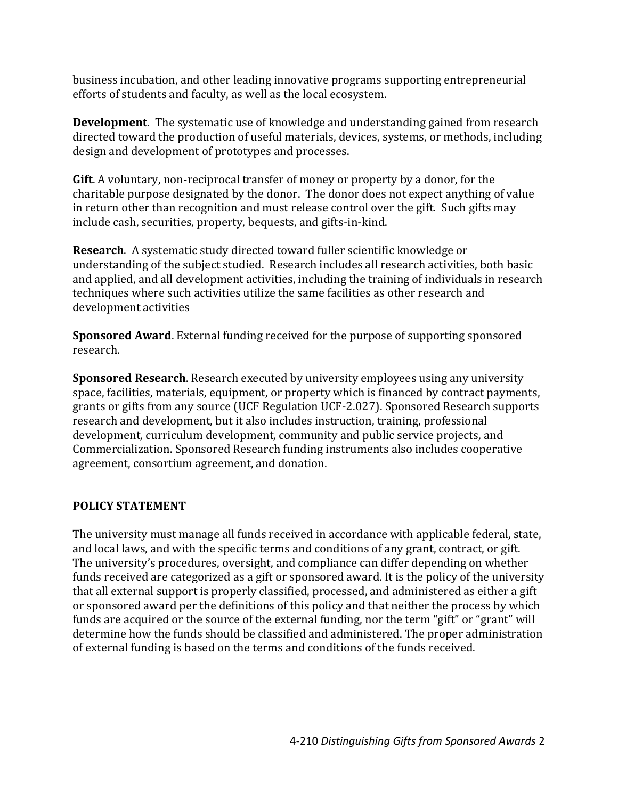business incubation, and other leading innovative programs supporting entrepreneurial efforts of students and faculty, as well as the local ecosystem.

**Development**. The systematic use of knowledge and understanding gained from research directed toward the production of useful materials, devices, systems, or methods, including design and development of prototypes and processes.

**Gift**. A voluntary, non-reciprocal transfer of money or property by a donor, for the charitable purpose designated by the donor. The donor does not expect anything of value in return other than recognition and must release control over the gift. Such gifts may include cash, securities, property, bequests, and gifts-in-kind.

**Research**. A systematic study directed toward fuller scientific knowledge or understanding of the subject studied. Research includes all research activities, both basic and applied, and all development activities, including the training of individuals in research techniques where such activities utilize the same facilities as other research and development activities

**Sponsored Award**. External funding received for the purpose of supporting sponsored research.

**Sponsored Research**. Research executed by university employees using any university space, facilities, materials, equipment, or property which is financed by contract payments, grants or gifts from any source (UCF Regulation UCF-2.027). Sponsored Research supports research and development, but it also includes instruction, training, professional development, curriculum development, community and public service projects, and Commercialization. Sponsored Research funding instruments also includes cooperative agreement, consortium agreement, and donation.

### **POLICY STATEMENT**

The university must manage all funds received in accordance with applicable federal, state, and local laws, and with the specific terms and conditions of any grant, contract, or gift. The university's procedures, oversight, and compliance can differ depending on whether funds received are categorized as a gift or sponsored award. It is the policy of the university that all external support is properly classified, processed, and administered as either a gift or sponsored award per the definitions of this policy and that neither the process by which funds are acquired or the source of the external funding, nor the term "gift" or "grant" will determine how the funds should be classified and administered. The proper administration of external funding is based on the terms and conditions of the funds received.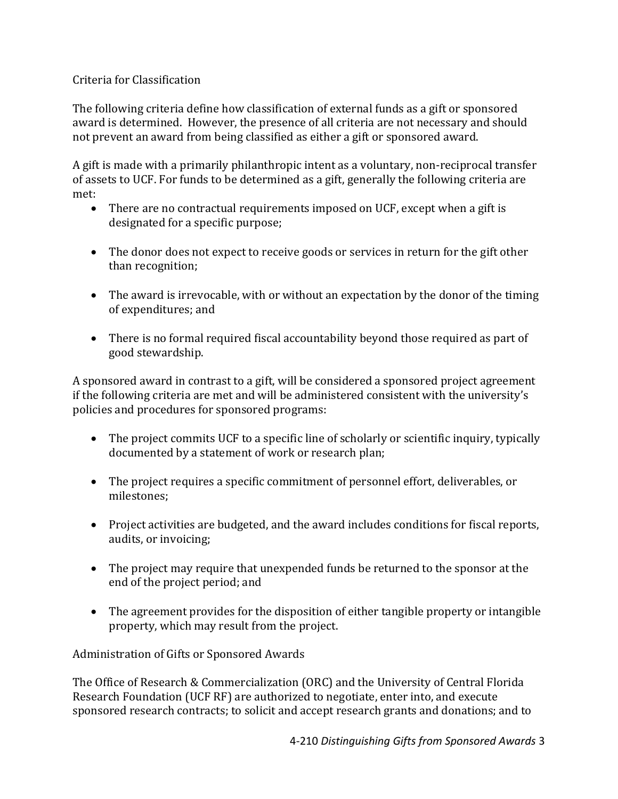### Criteria for Classification

The following criteria define how classification of external funds as a gift or sponsored award is determined. However, the presence of all criteria are not necessary and should not prevent an award from being classified as either a gift or sponsored award.

A gift is made with a primarily philanthropic intent as a voluntary, non-reciprocal transfer of assets to UCF. For funds to be determined as a gift, generally the following criteria are met:

- There are no contractual requirements imposed on UCF, except when a gift is designated for a specific purpose;
- The donor does not expect to receive goods or services in return for the gift other than recognition;
- The award is irrevocable, with or without an expectation by the donor of the timing of expenditures; and
- There is no formal required fiscal accountability beyond those required as part of good stewardship.

A sponsored award in contrast to a gift, will be considered a sponsored project agreement if the following criteria are met and will be administered consistent with the university's policies and procedures for sponsored programs:

- The project commits UCF to a specific line of scholarly or scientific inquiry, typically documented by a statement of work or research plan;
- The project requires a specific commitment of personnel effort, deliverables, or milestones;
- Project activities are budgeted, and the award includes conditions for fiscal reports, audits, or invoicing;
- The project may require that unexpended funds be returned to the sponsor at the end of the project period; and
- The agreement provides for the disposition of either tangible property or intangible property, which may result from the project.

Administration of Gifts or Sponsored Awards

The Office of Research & Commercialization (ORC) and the University of Central Florida Research Foundation (UCF RF) are authorized to negotiate, enter into, and execute sponsored research contracts; to solicit and accept research grants and donations; and to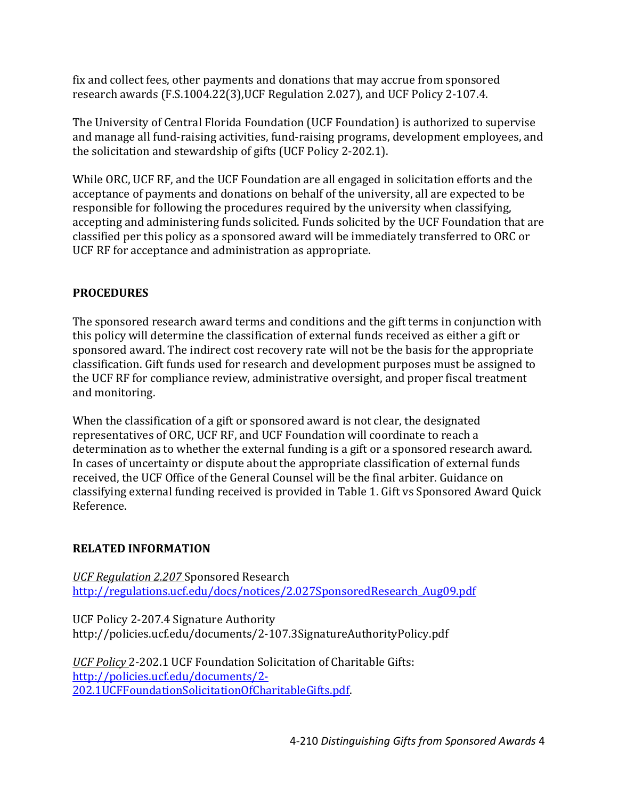fix and collect fees, other payments and donations that may accrue from sponsored research awards (F.S.1004.22(3),UCF Regulation 2.027), and UCF Policy 2-107.4.

The University of Central Florida Foundation (UCF Foundation) is authorized to supervise and manage all fund-raising activities, fund-raising programs, development employees, and the solicitation and stewardship of gifts (UCF Policy 2-202.1).

While ORC, UCF RF, and the UCF Foundation are all engaged in solicitation efforts and the acceptance of payments and donations on behalf of the university, all are expected to be responsible for following the procedures required by the university when classifying, accepting and administering funds solicited. Funds solicited by the UCF Foundation that are classified per this policy as a sponsored award will be immediately transferred to ORC or UCF RF for acceptance and administration as appropriate.

## **PROCEDURES**

The sponsored research award terms and conditions and the gift terms in conjunction with this policy will determine the classification of external funds received as either a gift or sponsored award. The indirect cost recovery rate will not be the basis for the appropriate classification. Gift funds used for research and development purposes must be assigned to the UCF RF for compliance review, administrative oversight, and proper fiscal treatment and monitoring.

When the classification of a gift or sponsored award is not clear, the designated representatives of ORC, UCF RF, and UCF Foundation will coordinate to reach a determination as to whether the external funding is a gift or a sponsored research award. In cases of uncertainty or dispute about the appropriate classification of external funds received, the UCF Office of the General Counsel will be the final arbiter. Guidance on classifying external funding received is provided in Table 1. Gift vs Sponsored Award Quick Reference.

### **RELATED INFORMATION**

*UCF Regulation 2.207* Sponsored Research [http://regulations.ucf.edu/docs/notices/2.027SponsoredResearch\\_Aug09.pdf](http://regulations.ucf.edu/docs/notices/2.027SponsoredResearch_Aug09.pdf)

UCF Policy 2-207.4 Signature Authority http://policies.ucf.edu/documents/2-107.3SignatureAuthorityPolicy.pdf

*UCF Policy* 2-202.1 UCF Foundation Solicitation of Charitable Gifts: [http://policies.ucf.edu/documents/2-](http://policies.ucf.edu/documents/2-202.1UCFFoundationSolicitationOfCharitableGifts.pdf) [202.1UCFFoundationSolicitationOfCharitableGifts.pdf.](http://policies.ucf.edu/documents/2-202.1UCFFoundationSolicitationOfCharitableGifts.pdf)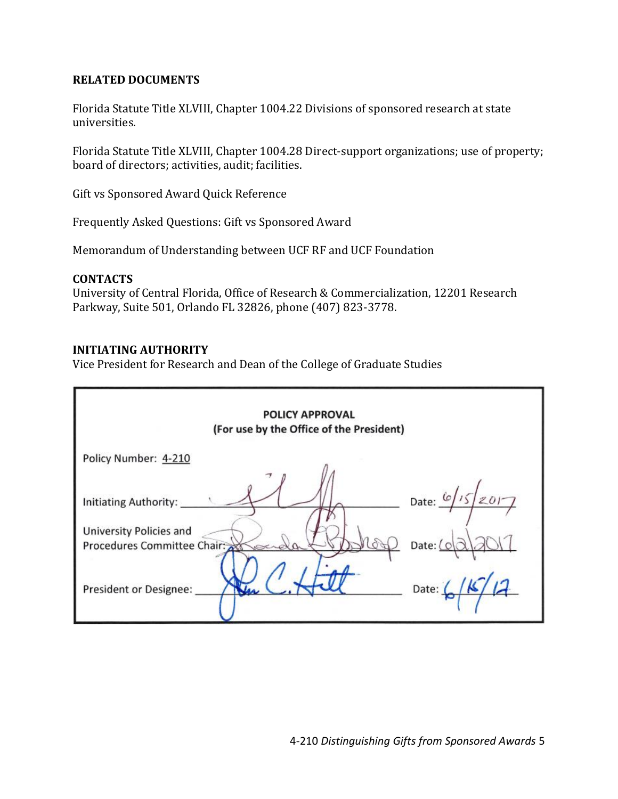#### **RELATED DOCUMENTS**

Florida Statute Title XLVIII, Chapter 1004.22 Divisions of sponsored research at state universities.

Florida Statute Title XLVIII, Chapter 1004.28 Direct-support organizations; use of property; board of directors; activities, audit; facilities.

Gift vs Sponsored Award Quick Reference

Frequently Asked Questions: Gift vs Sponsored Award

Memorandum of Understanding between UCF RF and UCF Foundation

#### **CONTACTS**

University of Central Florida, Office of Research & Commercialization, 12201 Research Parkway, Suite 501, Orlando FL 32826, phone (407) 823-3778.

#### **INITIATING AUTHORITY**

Vice President for Research and Dean of the College of Graduate Studies

| <b>POLICY APPROVAL</b><br>(For use by the Office of the President)                                               |                                                            |  |  |  |
|------------------------------------------------------------------------------------------------------------------|------------------------------------------------------------|--|--|--|
| Policy Number: 4-210                                                                                             |                                                            |  |  |  |
| <b>Initiating Authority:</b><br>University Policies and<br>Procedures Committee Chair:<br>President or Designee: | Date: $6/15/2017$<br>Date: $\left[ \circ \right]$<br>Date: |  |  |  |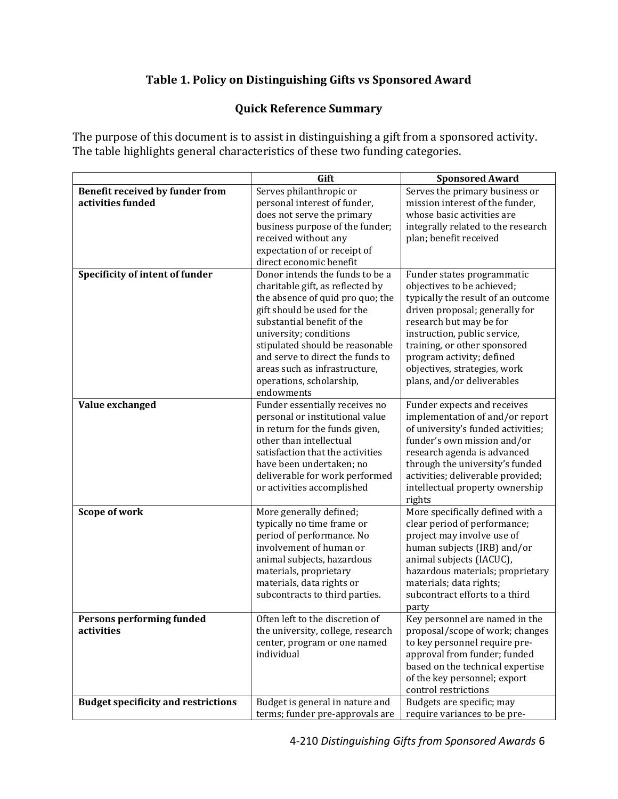# **Table 1. Policy on Distinguishing Gifts vs Sponsored Award**

## **Quick Reference Summary**

The purpose of this document is to assist in distinguishing a gift from a sponsored activity. The table highlights general characteristics of these two funding categories.

|                                                      | Gift                                                                                                                                                                                                                                                                                                                                             | <b>Sponsored Award</b>                                                                                                                                                                                                                                                                                                 |
|------------------------------------------------------|--------------------------------------------------------------------------------------------------------------------------------------------------------------------------------------------------------------------------------------------------------------------------------------------------------------------------------------------------|------------------------------------------------------------------------------------------------------------------------------------------------------------------------------------------------------------------------------------------------------------------------------------------------------------------------|
| Benefit received by funder from<br>activities funded | Serves philanthropic or<br>personal interest of funder,<br>does not serve the primary                                                                                                                                                                                                                                                            | Serves the primary business or<br>mission interest of the funder,<br>whose basic activities are                                                                                                                                                                                                                        |
|                                                      | business purpose of the funder;<br>received without any<br>expectation of or receipt of<br>direct economic benefit                                                                                                                                                                                                                               | integrally related to the research<br>plan; benefit received                                                                                                                                                                                                                                                           |
| Specificity of intent of funder                      | Donor intends the funds to be a<br>charitable gift, as reflected by<br>the absence of quid pro quo; the<br>gift should be used for the<br>substantial benefit of the<br>university; conditions<br>stipulated should be reasonable<br>and serve to direct the funds to<br>areas such as infrastructure,<br>operations, scholarship,<br>endowments | Funder states programmatic<br>objectives to be achieved;<br>typically the result of an outcome<br>driven proposal; generally for<br>research but may be for<br>instruction, public service,<br>training, or other sponsored<br>program activity; defined<br>objectives, strategies, work<br>plans, and/or deliverables |
| Value exchanged                                      | Funder essentially receives no<br>personal or institutional value<br>in return for the funds given,<br>other than intellectual<br>satisfaction that the activities<br>have been undertaken; no<br>deliverable for work performed<br>or activities accomplished                                                                                   | Funder expects and receives<br>implementation of and/or report<br>of university's funded activities;<br>funder's own mission and/or<br>research agenda is advanced<br>through the university's funded<br>activities; deliverable provided;<br>intellectual property ownership<br>rights                                |
| Scope of work                                        | More generally defined;<br>typically no time frame or<br>period of performance. No<br>involvement of human or<br>animal subjects, hazardous<br>materials, proprietary<br>materials, data rights or<br>subcontracts to third parties.                                                                                                             | More specifically defined with a<br>clear period of performance;<br>project may involve use of<br>human subjects (IRB) and/or<br>animal subjects (IACUC),<br>hazardous materials; proprietary<br>materials; data rights;<br>subcontract efforts to a third<br>party                                                    |
| Persons performing funded<br>activities              | Often left to the discretion of<br>the university, college, research<br>center, program or one named<br>individual                                                                                                                                                                                                                               | Key personnel are named in the<br>proposal/scope of work; changes<br>to key personnel require pre-<br>approval from funder; funded<br>based on the technical expertise<br>of the key personnel; export<br>control restrictions                                                                                         |
| <b>Budget specificity and restrictions</b>           | Budget is general in nature and<br>terms; funder pre-approvals are                                                                                                                                                                                                                                                                               | Budgets are specific; may<br>require variances to be pre-                                                                                                                                                                                                                                                              |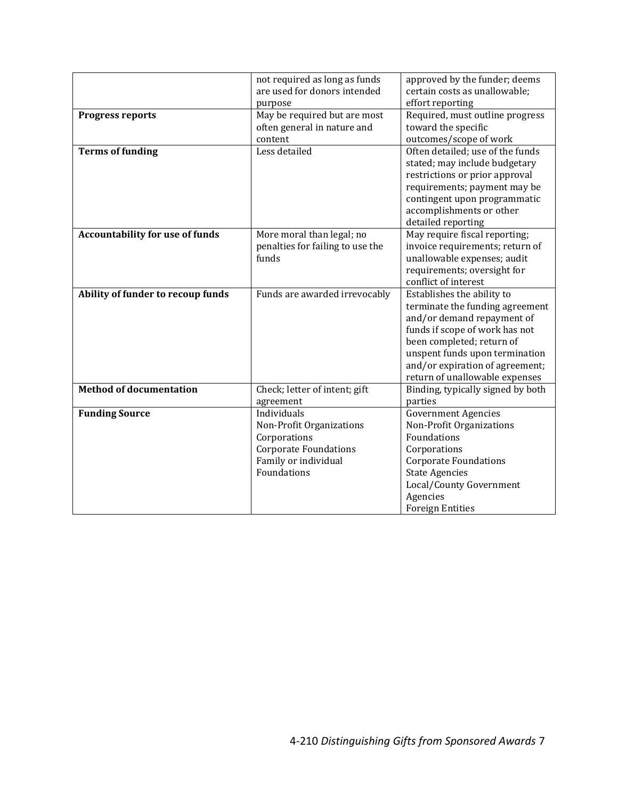|                                        | not required as long as funds<br>are used for donors intended<br>purpose                                                       | approved by the funder; deems<br>certain costs as unallowable;<br>effort reporting                                                                                                                                                                                |
|----------------------------------------|--------------------------------------------------------------------------------------------------------------------------------|-------------------------------------------------------------------------------------------------------------------------------------------------------------------------------------------------------------------------------------------------------------------|
| <b>Progress reports</b>                | May be required but are most<br>often general in nature and<br>content                                                         | Required, must outline progress<br>toward the specific<br>outcomes/scope of work                                                                                                                                                                                  |
| <b>Terms of funding</b>                | Less detailed                                                                                                                  | Often detailed; use of the funds<br>stated; may include budgetary<br>restrictions or prior approval<br>requirements; payment may be<br>contingent upon programmatic<br>accomplishments or other<br>detailed reporting                                             |
| <b>Accountability for use of funds</b> | More moral than legal; no<br>penalties for failing to use the<br>funds                                                         | May require fiscal reporting;<br>invoice requirements; return of<br>unallowable expenses; audit<br>requirements; oversight for<br>conflict of interest                                                                                                            |
| Ability of funder to recoup funds      | Funds are awarded irrevocably                                                                                                  | Establishes the ability to<br>terminate the funding agreement<br>and/or demand repayment of<br>funds if scope of work has not<br>been completed; return of<br>unspent funds upon termination<br>and/or expiration of agreement;<br>return of unallowable expenses |
| <b>Method of documentation</b>         | Check; letter of intent; gift<br>agreement                                                                                     | Binding, typically signed by both<br>parties                                                                                                                                                                                                                      |
| <b>Funding Source</b>                  | Individuals<br>Non-Profit Organizations<br>Corporations<br><b>Corporate Foundations</b><br>Family or individual<br>Foundations | <b>Government Agencies</b><br>Non-Profit Organizations<br>Foundations<br>Corporations<br><b>Corporate Foundations</b><br><b>State Agencies</b><br>Local/County Government<br>Agencies<br><b>Foreign Entities</b>                                                  |